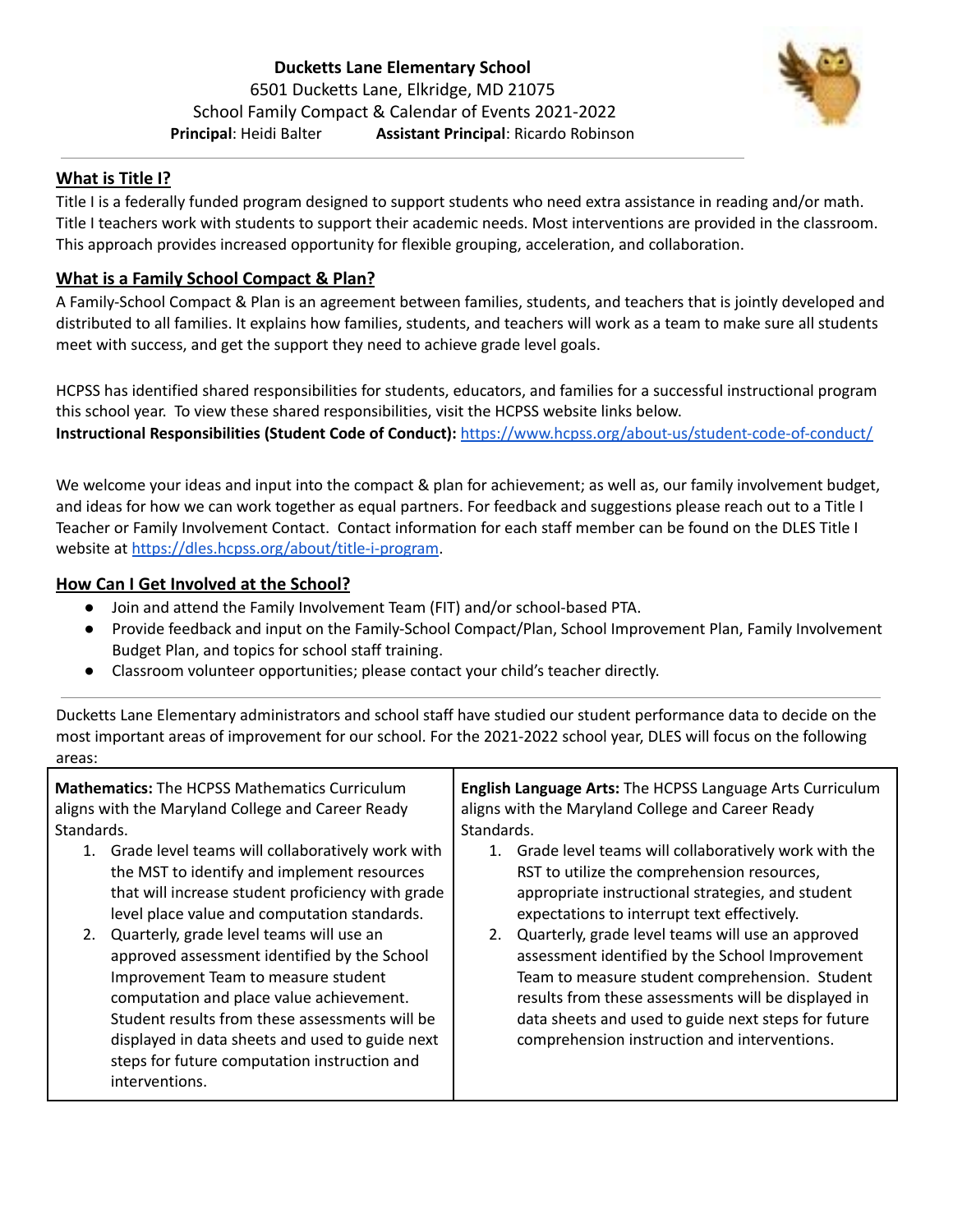

## **What is Title I?**

Title I is a federally funded program designed to support students who need extra assistance in reading and/or math. Title I teachers work with students to support their academic needs. Most interventions are provided in the classroom. This approach provides increased opportunity for flexible grouping, acceleration, and collaboration.

## **What is a Family School Compact & Plan?**

A Family-School Compact & Plan is an agreement between families, students, and teachers that is jointly developed and distributed to all families. It explains how families, students, and teachers will work as a team to make sure all students meet with success, and get the support they need to achieve grade level goals.

HCPSS has identified shared responsibilities for students, educators, and families for a successful instructional program this school year. To view these shared responsibilities, visit the HCPSS website links below[.](https://www.hcpss.org/2020-2021/virtual-instruction-responsibilities/)

**Instructional Responsibilities (Student Code of Conduct):** <https://www.hcpss.org/about-us/student-code-of-conduct/>

We welcome your ideas and input into the compact & plan for achievement; as well as, our family involvement budget, and ideas for how we can work together as equal partners. For feedback and suggestions please reach out to a Title I Teacher or Family Involvement Contact. Contact information for each staff member can be found on the DLES Title I website at <https://dles.hcpss.org/about/title-i-program>.

#### **How Can I Get Involved at the School?**

- Join and attend the Family Involvement Team (FIT) and/or school-based PTA.
- Provide feedback and input on the Family-School Compact/Plan, School Improvement Plan, Family Involvement Budget Plan, and topics for school staff training.
- Classroom volunteer opportunities; please contact your child's teacher directly.

Ducketts Lane Elementary administrators and school staff have studied our student performance data to decide on the most important areas of improvement for our school. For the 2021-2022 school year, DLES will focus on the following areas: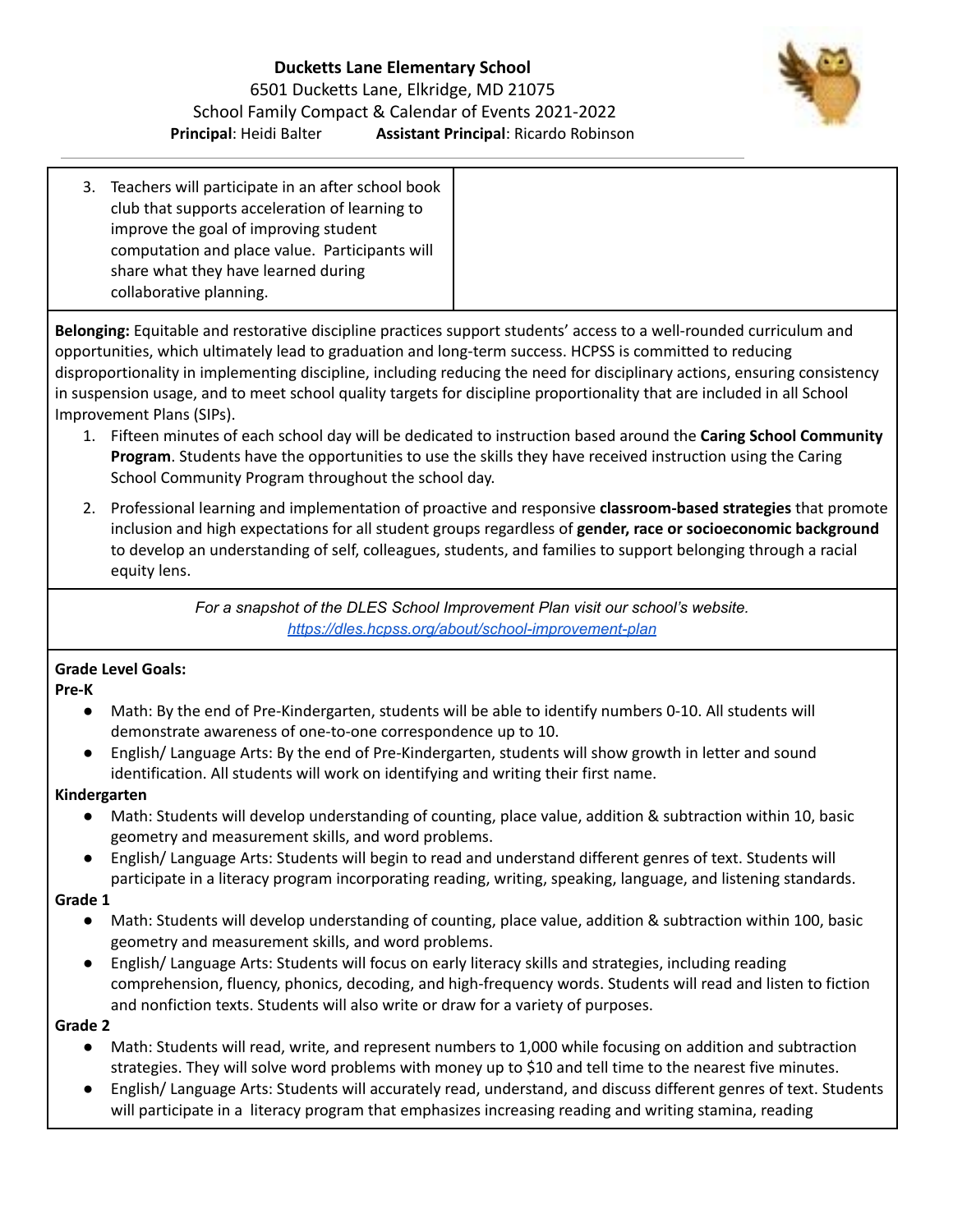# **Ducketts Lane Elementary School** 6501 Ducketts Lane, Elkridge, MD 21075 School Family Compact & Calendar of Events 2021-2022 **Principal**: Heidi Balter **Assistant Principal**: Ricardo Robinson



3. Teachers will participate in an after school book club that supports acceleration of learning to improve the goal of improving student computation and place value. Participants will share what they have learned during collaborative planning.

**Belonging:** Equitable and restorative discipline practices support students' access to a well-rounded curriculum and opportunities, which ultimately lead to graduation and long-term success. HCPSS is committed to reducing disproportionality in implementing discipline, including reducing the need for disciplinary actions, ensuring consistency in suspension usage, and to meet school quality targets for discipline proportionality that are included in all School Improvement Plans (SIPs).

- 1. Fifteen minutes of each school day will be dedicated to instruction based around the **Caring School Community Program**. Students have the opportunities to use the skills they have received instruction using the Caring School Community Program throughout the school day.
- 2. Professional learning and implementation of proactive and responsive **classroom-based strategies** that promote inclusion and high expectations for all student groups regardless of **gender, race or socioeconomic background** to develop an understanding of self, colleagues, students, and families to support belonging through a racial equity lens.

*For a snapshot of the DLES School Improvement Plan visit our school's website. <https://dles.hcpss.org/about/school-improvement-plan>*

# **Grade Level Goals:**

**Pre-K**

- Math: By the end of Pre-Kindergarten, students will be able to identify numbers 0-10. All students will demonstrate awareness of one-to-one correspondence up to 10.
- English/ Language Arts: By the end of Pre-Kindergarten, students will show growth in letter and sound identification. All students will work on identifying and writing their first name.

# **Kindergarten**

- Math: Students will develop understanding of counting, place value, addition & subtraction within 10, basic geometry and measurement skills, and word problems.
- English/ Language Arts: Students will begin to read and understand different genres of text. Students will participate in a literacy program incorporating reading, writing, speaking, language, and listening standards.

# **Grade 1**

- **●** Math: Students will develop understanding of counting, place value, addition & subtraction within 100, basic geometry and measurement skills, and word problems.
- **●** English/ Language Arts: Students will focus on early literacy skills and strategies, including reading comprehension, fluency, phonics, decoding, and high-frequency words. Students will read and listen to fiction and nonfiction texts. Students will also write or draw for a variety of purposes.

# **Grade 2**

- Math: Students will read, write, and represent numbers to 1,000 while focusing on addition and subtraction strategies. They will solve word problems with money up to \$10 and tell time to the nearest five minutes.
- English/ Language Arts: Students will accurately read, understand, and discuss different genres of text. Students will participate in a literacy program that emphasizes increasing reading and writing stamina, reading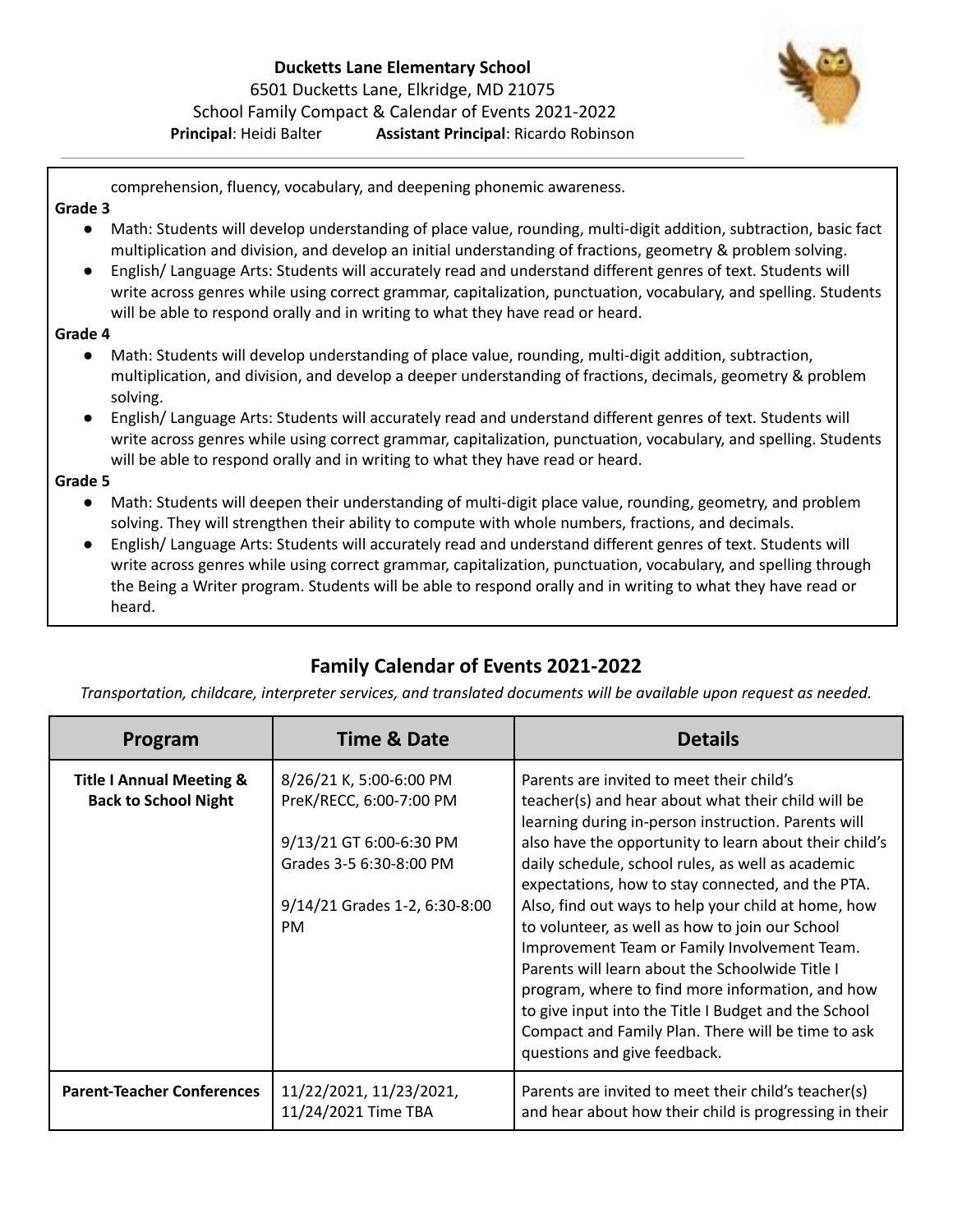# **Ducketts Lane Elementary School** 6501 Ducketts Lane, Elkridge, MD 21075 School Family Compact & Calendar of Events 2021-2022 **Principal**: Heidi Balter **Assistant Principal**: Ricardo Robinson



comprehension, fluency, vocabulary, and deepening phonemic awareness.

#### **Grade 3**

- Math: Students will develop understanding of place value, rounding, multi-digit addition, subtraction, basic fact multiplication and division, and develop an initial understanding of fractions, geometry & problem solving.
- English/ Language Arts: Students will accurately read and understand different genres of text. Students will write across genres while using correct grammar, capitalization, punctuation, vocabulary, and spelling. Students will be able to respond orally and in writing to what they have read or heard.

#### **Grade 4**

- Math: Students will develop understanding of place value, rounding, multi-digit addition, subtraction, multiplication, and division, and develop a deeper understanding of fractions, decimals, geometry & problem solving.
- English/ Language Arts: Students will accurately read and understand different genres of text. Students will write across genres while using correct grammar, capitalization, punctuation, vocabulary, and spelling. Students will be able to respond orally and in writing to what they have read or heard.

#### **Grade 5**

- Math: Students will deepen their understanding of multi-digit place value, rounding, geometry, and problem solving. They will strengthen their ability to compute with whole numbers, fractions, and decimals.
- English/ Language Arts: Students will accurately read and understand different genres of text. Students will write across genres while using correct grammar, capitalization, punctuation, vocabulary, and spelling through the Being a Writer program. Students will be able to respond orally and in writing to what they have read or heard.

# **Family Calendar of Events 2021-2022**

*Transportation, childcare, interpreter services, and translated documents will be available upon request as needed.*

| Program                                                            | <b>Time &amp; Date</b>                                                                                                                                 | <b>Details</b>                                                                                                                                                                                                                                                                                                                                                                                                                                                                                                                                                                                                                                                                                                                            |
|--------------------------------------------------------------------|--------------------------------------------------------------------------------------------------------------------------------------------------------|-------------------------------------------------------------------------------------------------------------------------------------------------------------------------------------------------------------------------------------------------------------------------------------------------------------------------------------------------------------------------------------------------------------------------------------------------------------------------------------------------------------------------------------------------------------------------------------------------------------------------------------------------------------------------------------------------------------------------------------------|
| <b>Title I Annual Meeting &amp;</b><br><b>Back to School Night</b> | 8/26/21 K, 5:00-6:00 PM<br>PreK/RECC, 6:00-7:00 PM<br>9/13/21 GT 6:00-6:30 PM<br>Grades 3-5 6:30-8:00 PM<br>9/14/21 Grades 1-2, 6:30-8:00<br><b>PM</b> | Parents are invited to meet their child's<br>teacher(s) and hear about what their child will be<br>learning during in-person instruction. Parents will<br>also have the opportunity to learn about their child's<br>daily schedule, school rules, as well as academic<br>expectations, how to stay connected, and the PTA.<br>Also, find out ways to help your child at home, how<br>to volunteer, as well as how to join our School<br>Improvement Team or Family Involvement Team.<br>Parents will learn about the Schoolwide Title I<br>program, where to find more information, and how<br>to give input into the Title I Budget and the School<br>Compact and Family Plan. There will be time to ask<br>questions and give feedback. |
| <b>Parent-Teacher Conferences</b>                                  | 11/22/2021, 11/23/2021,<br>11/24/2021 Time TBA                                                                                                         | Parents are invited to meet their child's teacher(s)<br>and hear about how their child is progressing in their                                                                                                                                                                                                                                                                                                                                                                                                                                                                                                                                                                                                                            |